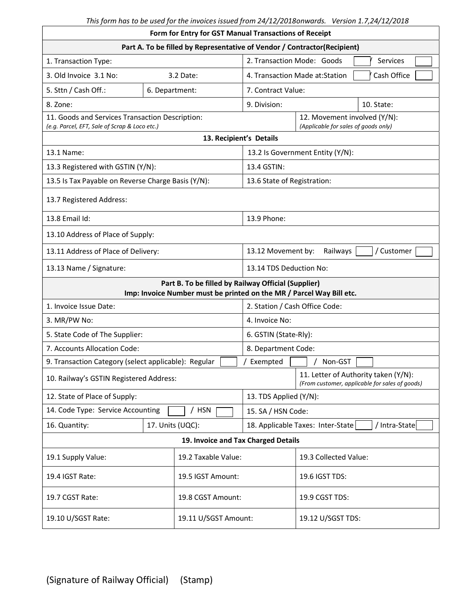| Form for Entry for GST Manual Transactions of Receipt                                                                       |                  |                   |                                                                      |                                                                                        |  |  |  |  |
|-----------------------------------------------------------------------------------------------------------------------------|------------------|-------------------|----------------------------------------------------------------------|----------------------------------------------------------------------------------------|--|--|--|--|
| Part A. To be filled by Representative of Vendor / Contractor(Recipient)                                                    |                  |                   |                                                                      |                                                                                        |  |  |  |  |
| 1. Transaction Type:                                                                                                        |                  |                   | 2. Transaction Mode: Goods<br>Services                               |                                                                                        |  |  |  |  |
| 3. Old Invoice 3.1 No:                                                                                                      | 3.2 Date:        |                   |                                                                      | Cash Office<br>4. Transaction Made at:Station                                          |  |  |  |  |
| 5. Sttn / Cash Off.:                                                                                                        | 6. Department:   |                   | 7. Contract Value:                                                   |                                                                                        |  |  |  |  |
| 8. Zone:                                                                                                                    |                  |                   | 9. Division:<br>10. State:                                           |                                                                                        |  |  |  |  |
| 11. Goods and Services Transaction Description:<br>(e.g. Parcel, EFT, Sale of Scrap & Loco etc.)                            |                  |                   | 12. Movement involved (Y/N):<br>(Applicable for sales of goods only) |                                                                                        |  |  |  |  |
| 13. Recipient's Details                                                                                                     |                  |                   |                                                                      |                                                                                        |  |  |  |  |
| 13.1 Name:                                                                                                                  |                  |                   | 13.2 Is Government Entity (Y/N):                                     |                                                                                        |  |  |  |  |
| 13.3 Registered with GSTIN (Y/N):                                                                                           |                  |                   | 13.4 GSTIN:                                                          |                                                                                        |  |  |  |  |
| 13.5 Is Tax Payable on Reverse Charge Basis (Y/N):                                                                          |                  |                   | 13.6 State of Registration:                                          |                                                                                        |  |  |  |  |
| 13.7 Registered Address:                                                                                                    |                  |                   |                                                                      |                                                                                        |  |  |  |  |
| 13.8 Email Id:                                                                                                              |                  |                   | 13.9 Phone:                                                          |                                                                                        |  |  |  |  |
| 13.10 Address of Place of Supply:                                                                                           |                  |                   |                                                                      |                                                                                        |  |  |  |  |
| 13.11 Address of Place of Delivery:                                                                                         |                  |                   | / Customer<br>13.12 Movement by:<br>Railways                         |                                                                                        |  |  |  |  |
| 13.13 Name / Signature:                                                                                                     |                  |                   | 13.14 TDS Deduction No:                                              |                                                                                        |  |  |  |  |
| Part B. To be filled by Railway Official (Supplier)<br>Imp: Invoice Number must be printed on the MR / Parcel Way Bill etc. |                  |                   |                                                                      |                                                                                        |  |  |  |  |
| 1. Invoice Issue Date:                                                                                                      |                  |                   | 2. Station / Cash Office Code:                                       |                                                                                        |  |  |  |  |
| 3. MR/PW No:                                                                                                                |                  |                   | 4. Invoice No:                                                       |                                                                                        |  |  |  |  |
| 5. State Code of The Supplier:                                                                                              |                  |                   | 6. GSTIN (State-Rly):                                                |                                                                                        |  |  |  |  |
| 7. Accounts Allocation Code:                                                                                                |                  |                   | 8. Department Code:                                                  |                                                                                        |  |  |  |  |
| 9. Transaction Category (select applicable): Regular                                                                        |                  |                   | Exempted<br>Non-GST                                                  |                                                                                        |  |  |  |  |
| 10. Railway's GSTIN Registered Address:                                                                                     |                  |                   |                                                                      | 11. Letter of Authority taken (Y/N):<br>(From customer, applicable for sales of goods) |  |  |  |  |
| 12. State of Place of Supply:                                                                                               |                  |                   | 13. TDS Applied (Y/N):                                               |                                                                                        |  |  |  |  |
| 14. Code Type: Service Accounting                                                                                           |                  | <b>HSN</b>        | 15. SA / HSN Code:                                                   |                                                                                        |  |  |  |  |
| 16. Quantity:                                                                                                               | 17. Units (UQC): |                   | 18. Applicable Taxes: Inter-State<br>/ Intra-State                   |                                                                                        |  |  |  |  |
| 19. Invoice and Tax Charged Details                                                                                         |                  |                   |                                                                      |                                                                                        |  |  |  |  |
| 19.2 Taxable Value:<br>19.1 Supply Value:                                                                                   |                  |                   | 19.3 Collected Value:                                                |                                                                                        |  |  |  |  |
| 19.4 IGST Rate:                                                                                                             |                  | 19.5 IGST Amount: |                                                                      | 19.6 IGST TDS:                                                                         |  |  |  |  |
| 19.7 CGST Rate:                                                                                                             |                  | 19.8 CGST Amount: |                                                                      | 19.9 CGST TDS:                                                                         |  |  |  |  |
| 19.10 U/SGST Rate:<br>19.11 U/SGST Amount:                                                                                  |                  |                   |                                                                      | 19.12 U/SGST TDS:                                                                      |  |  |  |  |